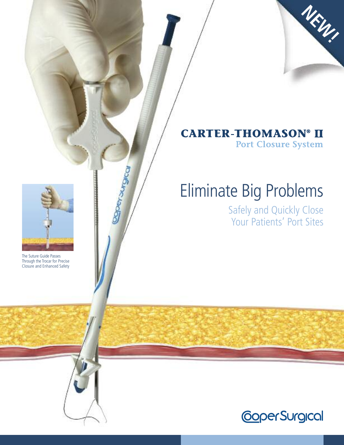

### **CARTER-THOMASON® II Port Closure System**

# Eliminate Big Problems

Safely and Quickly Close Your Patients' Port Sites



**Roetomonde** 

The Suture Guide Passes Through the Trocar for Precise Closure and Enhanced Safety

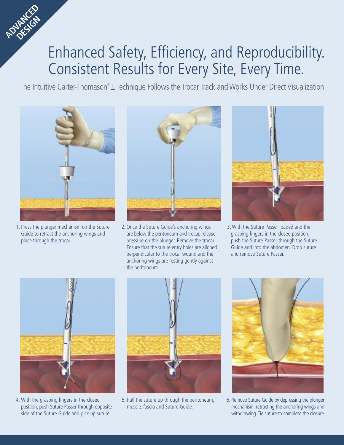## Enhanced Safety, Efficiency, and Reproducibility. Consistent Results for Every Site, Every Time.

The Intuitive Carter-Thomason® II Technique Follows the Trocar Track and Works Under Direct Visualization



**ADVANCED DESIGN** 

> 1. Press the plunger mechanism on the Suture Guide to retract the anchoring wings and place through the trocar.



2. Once the Suture Guide's anchoring wings are below the peritoneum and trocar, release pressure on the plunger. Remove the trocar. Ensure that the suture entry holes are aligned perpendicular to the trocar wound and the anchoring wings are resting gently against the peritoneum.



3.With the Suture Passer loaded and the grasping fingers in the closed position, push the Suture Passer through the Suture Guide and into the abdomen. Drop suture and remove Suture Passer.



4. With the grasping fingers in the closed position, push Suture Passer through opposite side of the Suture Guide and pick up suture.



5. Pull the suture up through the peritoneum, muscle, fascia and Suture Guide.



6. Remove Suture Guide by depressing the plunger mechanism, retracting the anchoring wings and withdrawing. Tie suture to complete the closure.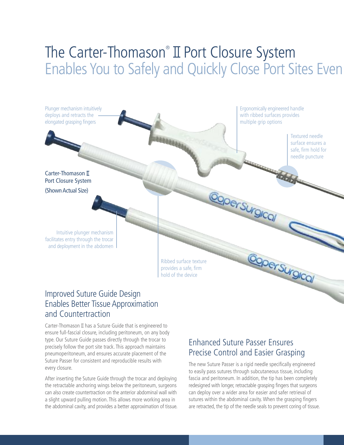### The Carter-Thomason<sup>®</sup> II Port Closure System Enables You to Safely and Quickly Close Port Sites Even



#### Improved Suture Guide Design Enables Better Tissue Approximation and Countertraction

Carter-Thomason  $I\!I$  has a Suture Guide that is engineered to ensure full-fascial closure, including peritoneum, on any body type. Our Suture Guide passes directly through the trocar to precisely follow the port site track. This approach maintains pneumoperitoneum, and ensures accurate placement of the Suture Passer for consistent and reproducible results with every closure.

After inserting the Suture Guide through the trocar and deploying the retractable anchoring wings below the peritoneum, surgeons can also create countertraction on the anterior abdominal wall with a slight upward pulling motion. This allows more working area in the abdominal cavity, and provides a better approximation of tissue.

#### Enhanced Suture Passer Ensures Precise Control and Easier Grasping

The new Suture Passer is a rigid needle specifically engineered to easily pass sutures through subcutaneous tissue, including fascia and peritoneum. In addition, the tip has been completely redesigned with longer, retractable grasping fingers that surgeons can deploy over a wider area for easier and safer retrieval of sutures within the abdominal cavity. When the grasping fingers are retracted, the tip of the needle seals to prevent coring of tissue.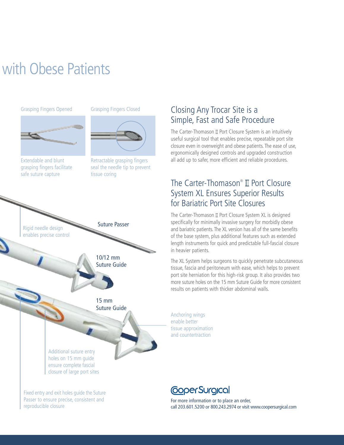## with Obese Patients

#### Grasping Fingers Opened Grasping Fingers Closed



Extendable and blunt grasping fingers facilitate safe suture capture



Retractable grasping fingers seal the needle tip to prevent tissue coring



#### Closing Any Trocar Site is a Simple, Fast and Safe Procedure

The Carter-Thomason  $\mathbb I$  Port Closure System is an intuitively useful surgical tool that enables precise, repeatable port site closure even in overweight and obese patients. The ease of use, ergonomically designed controls and upgraded construction all add up to safer, more efficient and reliable procedures.

#### The Carter-Thomason® II Port Closure System XL Ensures Superior Results for Bariatric Port Site Closures

The Carter-Thomason  $\mathbb I$  Port Closure System XL is designed specifically for minimally invasive surgery for morbidly obese and bariatric patients. The XL version has all of the same benefits of the base system, plus additional features such as extended length instruments for quick and predictable full-fascial closure in heavier patients.

The XL System helps surgeons to quickly penetrate subcutaneous tissue, fascia and peritoneum with ease, which helps to prevent port site herniation for this high-risk group. It also provides two more suture holes on the 15 mm Suture Guide for more consistent results on patients with thicker abdominal walls.

Anchoring wings enable better tissue approximation and countertraction

Passer to ensure precise, consistent and reproducible closure

### **CoperSurgical**

For more information or to place an order, call 203.601.5200 or 800.243.2974 or visit www.coopersurgical.com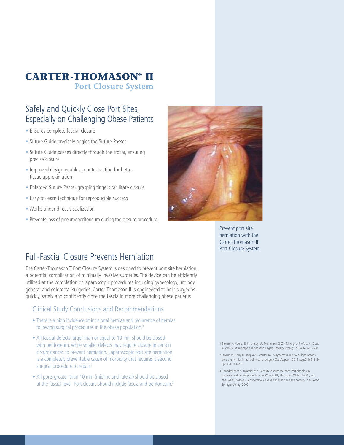#### **CARTER-THOMASON® II Port Closure System**

#### Safely and Quickly Close Port Sites, Especially on Challenging Obese Patients

- Ensures complete fascial closure
- Suture Guide precisely angles the Suture Passer
- Suture Guide passes directly through the trocar, ensuring precise closure
- Improved design enables countertraction for better tissue approximation
- Enlarged Suture Passer grasping fingers facilitate closure
- Easy-to-learn technique for reproducible success
- Works under direct visualization
- Prevents loss of pneumoperitoneum during the closure procedure



Prevent port site herniation with the Carter-Thomason Port Closure System

#### Full-Fascial Closure Prevents Herniation

The Carter-Thomason  $I\!I$  Port Closure System is designed to prevent port site herniation, a potential complication of minimally invasive surgeries. The device can be efficiently utilized at the completion of laparoscopic procedures including gynecology, urology, general and colorectal surgeries. Carter-Thomason  $II$  is engineered to help surgeons quickly, safely and confidently close the fascia in more challenging obese patients.

#### Clinical Study Conclusions and Recommendations

- There is a high incidence of incisional hernias and recurrence of hernias following surgical procedures in the obese population. 1
- All fascial defects larger than or equal to 10 mm should be closed with peritoneum, while smaller defects may require closure in certain circumstances to prevent herniation.Laparoscopic port site herniation is a completely preventable cause of morbidity that requires a second surgical procedure to repair.<sup>2</sup>
- All ports greater than 10 mm (midline and lateral) should be closed at the fascial level. Port closure should include fascia and peritoneum. 3

1 Bonatti H, Hoeller E, Kirchmayr W, Muhlmann G, Zitt M, Aigner F, Weiss H, Klaus A. Ventral hernia repair in bariatric surgery. Obesity Surgery. 2004;14: 655-658.

- 2 Owens M, Barry M, Janjua AZ,Winter DC. A systematic review of laparoscopic port site hernias in gastrointestinal surgery. The Surgeon. 2011 Aug;9(4):218-24. Epub 2011 Feb 1.
- 3 Chandrakanth A, Talamini MA. Port site closure methods Port site closure methods and hernia prevention. In:Whelan RL, Fleshman JW, Fowler DL, eds. The SAGES Manual: Perioperative Care in Minimally Invasive Surgery. New York: Springer-Verlag; 2006.